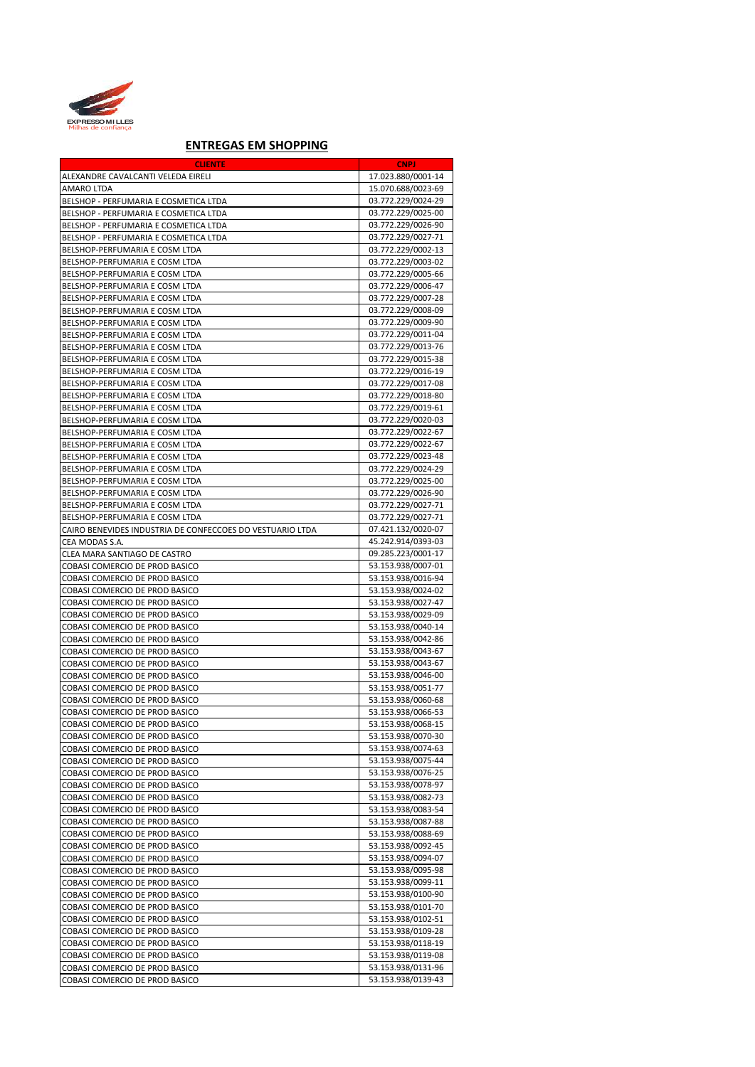

## **ENTREGAS EM SHOPPING**

| <b>CLIENTE</b>                                            | <b>CNPJ</b>        |
|-----------------------------------------------------------|--------------------|
| ALEXANDRE CAVALCANTI VELEDA EIRELI                        | 17.023.880/0001-14 |
| AMARO LTDA                                                | 15.070.688/0023-69 |
|                                                           | 03.772.229/0024-29 |
| BELSHOP - PERFUMARIA E COSMETICA LTDA                     |                    |
| BELSHOP - PERFUMARIA E COSMETICA LTDA                     | 03.772.229/0025-00 |
| BELSHOP - PERFUMARIA E COSMETICA LTDA                     | 03.772.229/0026-90 |
| BELSHOP - PERFUMARIA E COSMETICA LTDA                     | 03.772.229/0027-71 |
| BELSHOP-PERFUMARIA E COSM LTDA                            | 03.772.229/0002-13 |
| BELSHOP-PERFUMARIA E COSM LTDA                            | 03.772.229/0003-02 |
| BELSHOP-PERFUMARIA E COSM LTDA                            | 03.772.229/0005-66 |
| BELSHOP-PERFUMARIA E COSM LTDA                            | 03.772.229/0006-47 |
| BELSHOP-PERFUMARIA E COSM LTDA                            | 03.772.229/0007-28 |
| BELSHOP-PERFUMARIA E COSM LTDA                            | 03.772.229/0008-09 |
| BELSHOP-PERFUMARIA E COSM LTDA                            | 03.772.229/0009-90 |
| BELSHOP-PERFUMARIA E COSM LTDA                            | 03.772.229/0011-04 |
|                                                           | 03.772.229/0013-76 |
| BELSHOP-PERFUMARIA E COSM LTDA                            |                    |
| BELSHOP-PERFUMARIA E COSM LTDA                            | 03.772.229/0015-38 |
| BELSHOP-PERFUMARIA E COSM LTDA                            | 03.772.229/0016-19 |
| BELSHOP-PERFUMARIA E COSM LTDA                            | 03.772.229/0017-08 |
| BELSHOP-PERFUMARIA E COSM LTDA                            | 03.772.229/0018-80 |
| BELSHOP-PERFUMARIA E COSM LTDA                            | 03.772.229/0019-61 |
| BELSHOP-PERFUMARIA E COSM LTDA                            | 03.772.229/0020-03 |
| BELSHOP-PERFUMARIA E COSM LTDA                            | 03.772.229/0022-67 |
| BELSHOP-PERFUMARIA E COSM LTDA                            | 03.772.229/0022-67 |
| BELSHOP-PERFUMARIA E COSM LTDA                            | 03.772.229/0023-48 |
| BELSHOP-PERFUMARIA E COSM LTDA                            | 03.772.229/0024-29 |
| BELSHOP-PERFUMARIA E COSM LTDA                            | 03.772.229/0025-00 |
| BELSHOP-PERFUMARIA E COSM LTDA                            | 03.772.229/0026-90 |
| BELSHOP-PERFUMARIA E COSM LTDA                            | 03.772.229/0027-71 |
|                                                           |                    |
| BELSHOP-PERFUMARIA E COSM LTDA                            | 03.772.229/0027-71 |
| CAIRO BENEVIDES INDUSTRIA DE CONFECCOES DO VESTUARIO LTDA | 07.421.132/0020-07 |
| CEA MODAS S.A.                                            | 45.242.914/0393-03 |
| CLEA MARA SANTIAGO DE CASTRO                              | 09.285.223/0001-17 |
| COBASI COMERCIO DE PROD BASICO                            | 53.153.938/0007-01 |
| COBASI COMERCIO DE PROD BASICO                            | 53.153.938/0016-94 |
| COBASI COMERCIO DE PROD BASICO                            | 53.153.938/0024-02 |
| COBASI COMERCIO DE PROD BASICO                            | 53.153.938/0027-47 |
| COBASI COMERCIO DE PROD BASICO                            | 53.153.938/0029-09 |
| COBASI COMERCIO DE PROD BASICO                            | 53.153.938/0040-14 |
| COBASI COMERCIO DE PROD BASICO                            | 53.153.938/0042-86 |
| COBASI COMERCIO DE PROD BASICO                            | 53.153.938/0043-67 |
| COBASI COMERCIO DE PROD BASICO                            | 53.153.938/0043-67 |
| COBASI COMERCIO DE PROD BASICO                            | 53.153.938/0046-00 |
| COBASI COMERCIO DE PROD BASICO                            | 53.153.938/0051-77 |
| COBASI COMERCIO DE PROD BASICO                            | 53.153.938/0060-68 |
| COBASI COMERCIO DE PROD BASICO                            | 53.153.938/0066-53 |
|                                                           | 53.153.938/0068-15 |
| COBASI COMERCIO DE PROD BASICO                            |                    |
| COBASI COMERCIO DE PROD BASICO                            | 53.153.938/0070-30 |
| COBASI COMERCIO DE PROD BASICO                            | 53.153.938/0074-63 |
| COBASI COMERCIO DE PROD BASICO                            | 53.153.938/0075-44 |
| COBASI COMERCIO DE PROD BASICO                            | 53.153.938/0076-25 |
| COBASI COMERCIO DE PROD BASICO                            | 53.153.938/0078-97 |
| COBASI COMERCIO DE PROD BASICO                            | 53.153.938/0082-73 |
| COBASI COMERCIO DE PROD BASICO                            | 53.153.938/0083-54 |
| COBASI COMERCIO DE PROD BASICO                            | 53.153.938/0087-88 |
| COBASI COMERCIO DE PROD BASICO                            | 53.153.938/0088-69 |
| COBASI COMERCIO DE PROD BASICO                            | 53.153.938/0092-45 |
| COBASI COMERCIO DE PROD BASICO                            | 53.153.938/0094-07 |
| COBASI COMERCIO DE PROD BASICO                            | 53.153.938/0095-98 |
| COBASI COMERCIO DE PROD BASICO                            | 53.153.938/0099-11 |
| COBASI COMERCIO DE PROD BASICO                            | 53.153.938/0100-90 |
|                                                           | 53.153.938/0101-70 |
| COBASI COMERCIO DE PROD BASICO                            |                    |
| COBASI COMERCIO DE PROD BASICO                            | 53.153.938/0102-51 |
| COBASI COMERCIO DE PROD BASICO                            | 53.153.938/0109-28 |
| COBASI COMERCIO DE PROD BASICO                            | 53.153.938/0118-19 |
| COBASI COMERCIO DE PROD BASICO                            | 53.153.938/0119-08 |
| COBASI COMERCIO DE PROD BASICO                            | 53.153.938/0131-96 |
| COBASI COMERCIO DE PROD BASICO                            | 53.153.938/0139-43 |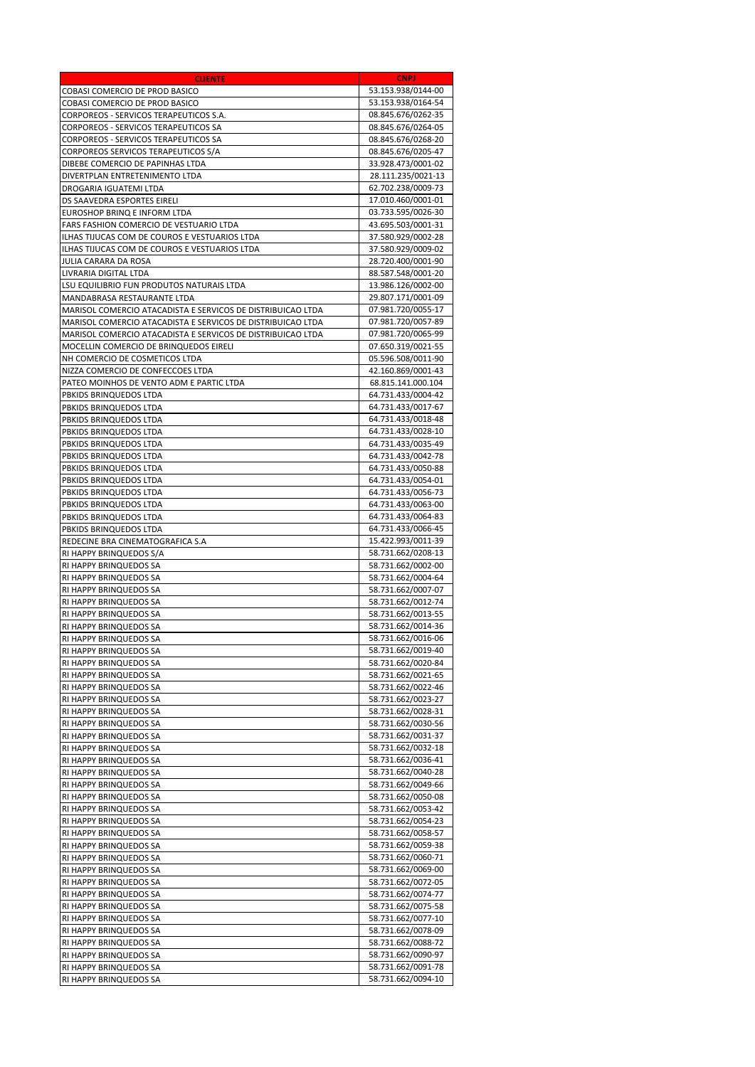| <b>CLIENTE</b>                                              | <b>Example CNPJ</b> |
|-------------------------------------------------------------|---------------------|
| COBASI COMERCIO DE PROD BASICO                              | 53.153.938/0144-00  |
| COBASI COMERCIO DE PROD BASICO                              | 53.153.938/0164-54  |
| CORPOREOS - SERVICOS TERAPEUTICOS S.A.                      | 08.845.676/0262-35  |
| CORPOREOS - SERVICOS TERAPEUTICOS SA                        | 08.845.676/0264-05  |
| CORPOREOS - SERVICOS TERAPEUTICOS SA                        | 08.845.676/0268-20  |
| CORPOREOS SERVICOS TERAPEUTICOS S/A                         | 08.845.676/0205-47  |
| DIBEBE COMERCIO DE PAPINHAS LTDA                            | 33.928.473/0001-02  |
| DIVERTPLAN ENTRETENIMENTO LTDA                              | 28.111.235/0021-13  |
| DROGARIA IGUATEMI LTDA                                      | 62.702.238/0009-73  |
| DS SAAVEDRA ESPORTES EIRELI                                 | 17.010.460/0001-01  |
| EUROSHOP BRINQ E INFORM LTDA                                | 03.733.595/0026-30  |
| FARS FASHION COMERCIO DE VESTUARIO LTDA                     | 43.695.503/0001-31  |
| ILHAS TIJUCAS COM DE COUROS E VESTUARIOS LTDA               | 37.580.929/0002-28  |
| ILHAS TIJUCAS COM DE COUROS E VESTUARIOS LTDA               | 37.580.929/0009-02  |
| JULIA CARARA DA ROSA                                        | 28.720.400/0001-90  |
| LIVRARIA DIGITAL LTDA                                       | 88.587.548/0001-20  |
| LSU EQUILIBRIO FUN PRODUTOS NATURAIS LTDA                   | 13.986.126/0002-00  |
| MANDABRASA RESTAURANTE LTDA                                 | 29.807.171/0001-09  |
| MARISOL COMERCIO ATACADISTA E SERVICOS DE DISTRIBUICAO LTDA | 07.981.720/0055-17  |
| MARISOL COMERCIO ATACADISTA E SERVICOS DE DISTRIBUICAO LTDA | 07.981.720/0057-89  |
| MARISOL COMERCIO ATACADISTA E SERVICOS DE DISTRIBUICAO LTDA | 07.981.720/0065-99  |
| MOCELLIN COMERCIO DE BRINQUEDOS EIRELI                      | 07.650.319/0021-55  |
| NH COMERCIO DE COSMETICOS LTDA                              | 05.596.508/0011-90  |
| NIZZA COMERCIO DE CONFECCOES LTDA                           | 42.160.869/0001-43  |
| PATEO MOINHOS DE VENTO ADM E PARTIC LTDA                    | 68.815.141.000.104  |
| PBKIDS BRINQUEDOS LTDA                                      | 64.731.433/0004-42  |
| PBKIDS BRINQUEDOS LTDA                                      | 64.731.433/0017-67  |
| PBKIDS BRINQUEDOS LTDA                                      | 64.731.433/0018-48  |
| PBKIDS BRINQUEDOS LTDA                                      | 64.731.433/0028-10  |
| PBKIDS BRINQUEDOS LTDA                                      | 64.731.433/0035-49  |
| PBKIDS BRINQUEDOS LTDA                                      | 64.731.433/0042-78  |
| PBKIDS BRINQUEDOS LTDA                                      | 64.731.433/0050-88  |
| PBKIDS BRINQUEDOS LTDA                                      | 64.731.433/0054-01  |
| PBKIDS BRINQUEDOS LTDA                                      | 64.731.433/0056-73  |
| PBKIDS BRINQUEDOS LTDA                                      | 64.731.433/0063-00  |
| PBKIDS BRINQUEDOS LTDA                                      | 64.731.433/0064-83  |
| PBKIDS BRINQUEDOS LTDA                                      | 64.731.433/0066-45  |
| REDECINE BRA CINEMATOGRAFICA S.A                            | 15.422.993/0011-39  |
| RI HAPPY BRINQUEDOS S/A                                     | 58.731.662/0208-13  |
| RI HAPPY BRINQUEDOS SA                                      | 58.731.662/0002-00  |
| RI HAPPY BRINQUEDOS SA                                      | 58.731.662/0004-64  |
| RI HAPPY BRINQUEDOS SA                                      | 58.731.662/0007-07  |
| RI HAPPY BRINQUEDOS SA                                      | 58.731.662/0012-74  |
| RI HAPPY BRINQUEDOS SA                                      | 58.731.662/0013-55  |
| RI HAPPY BRINQUEDOS SA                                      | 58.731.662/0014-36  |
| RI HAPPY BRINQUEDOS SA                                      | 58.731.662/0016-06  |
| RI HAPPY BRINQUEDOS SA                                      | 58.731.662/0019-40  |
| RI HAPPY BRINQUEDOS SA                                      | 58.731.662/0020-84  |
| RI HAPPY BRINQUEDOS SA                                      | 58.731.662/0021-65  |
| RI HAPPY BRINQUEDOS SA                                      | 58.731.662/0022-46  |
| RI HAPPY BRINQUEDOS SA                                      | 58.731.662/0023-27  |
| RI HAPPY BRINQUEDOS SA                                      | 58.731.662/0028-31  |
| RI HAPPY BRINQUEDOS SA                                      | 58.731.662/0030-56  |
| RI HAPPY BRINQUEDOS SA                                      | 58.731.662/0031-37  |
| RI HAPPY BRINQUEDOS SA                                      | 58.731.662/0032-18  |
| RI HAPPY BRINQUEDOS SA                                      | 58.731.662/0036-41  |
| RI HAPPY BRINQUEDOS SA                                      | 58.731.662/0040-28  |
| RI HAPPY BRINQUEDOS SA                                      | 58.731.662/0049-66  |
| RI HAPPY BRINQUEDOS SA                                      | 58.731.662/0050-08  |
| RI HAPPY BRINQUEDOS SA                                      | 58.731.662/0053-42  |
| RI HAPPY BRINQUEDOS SA                                      | 58.731.662/0054-23  |
| RI HAPPY BRINQUEDOS SA                                      | 58.731.662/0058-57  |
| RI HAPPY BRINQUEDOS SA                                      | 58.731.662/0059-38  |
| RI HAPPY BRINQUEDOS SA                                      | 58.731.662/0060-71  |
| RI HAPPY BRINQUEDOS SA                                      | 58.731.662/0069-00  |
| RI HAPPY BRINQUEDOS SA                                      | 58.731.662/0072-05  |
| RI HAPPY BRINQUEDOS SA                                      | 58.731.662/0074-77  |
| RI HAPPY BRINQUEDOS SA                                      | 58.731.662/0075-58  |
| RI HAPPY BRINQUEDOS SA                                      | 58.731.662/0077-10  |
| RI HAPPY BRINQUEDOS SA                                      | 58.731.662/0078-09  |
| RI HAPPY BRINQUEDOS SA                                      | 58.731.662/0088-72  |
| RI HAPPY BRINQUEDOS SA                                      | 58.731.662/0090-97  |
| RI HAPPY BRINQUEDOS SA                                      | 58.731.662/0091-78  |
| RI HAPPY BRINQUEDOS SA                                      | 58.731.662/0094-10  |